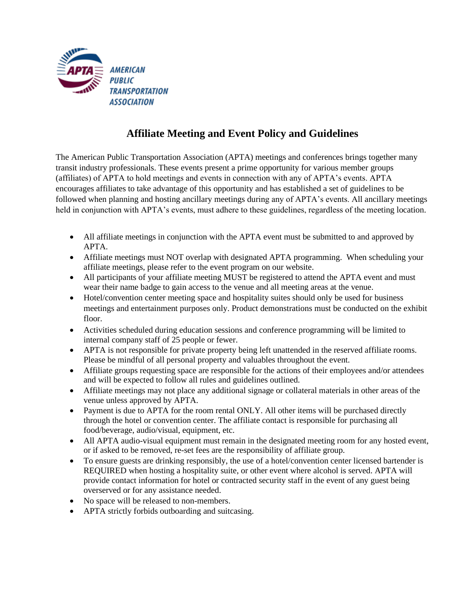

## **Affiliate Meeting and Event Policy and Guidelines**

The American Public Transportation Association (APTA) meetings and conferences brings together many transit industry professionals. These events present a prime opportunity for various member groups (affiliates) of APTA to hold meetings and events in connection with any of APTA's events. APTA encourages affiliates to take advantage of this opportunity and has established a set of guidelines to be followed when planning and hosting ancillary meetings during any of APTA's events. All ancillary meetings held in conjunction with APTA's events, must adhere to these guidelines, regardless of the meeting location.

- All affiliate meetings in conjunction with the APTA event must be submitted to and approved by APTA.
- Affiliate meetings must NOT overlap with designated APTA programming. When scheduling your affiliate meetings, please refer to the event program on our website.
- All participants of your affiliate meeting MUST be registered to attend the APTA event and must wear their name badge to gain access to the venue and all meeting areas at the venue.
- Hotel/convention center meeting space and hospitality suites should only be used for business meetings and entertainment purposes only. Product demonstrations must be conducted on the exhibit floor.
- Activities scheduled during education sessions and conference programming will be limited to internal company staff of 25 people or fewer.
- APTA is not responsible for private property being left unattended in the reserved affiliate rooms. Please be mindful of all personal property and valuables throughout the event.
- Affiliate groups requesting space are responsible for the actions of their employees and/or attendees and will be expected to follow all rules and guidelines outlined.
- Affiliate meetings may not place any additional signage or collateral materials in other areas of the venue unless approved by APTA.
- Payment is due to APTA for the room rental ONLY. All other items will be purchased directly through the hotel or convention center. The affiliate contact is responsible for purchasing all food/beverage, audio/visual, equipment, etc.
- All APTA audio-visual equipment must remain in the designated meeting room for any hosted event, or if asked to be removed, re-set fees are the responsibility of affiliate group.
- To ensure guests are drinking responsibly, the use of a hotel/convention center licensed bartender is REQUIRED when hosting a hospitality suite, or other event where alcohol is served. APTA will provide contact information for hotel or contracted security staff in the event of any guest being overserved or for any assistance needed.
- No space will be released to non-members.
- APTA strictly forbids outboarding and suitcasing.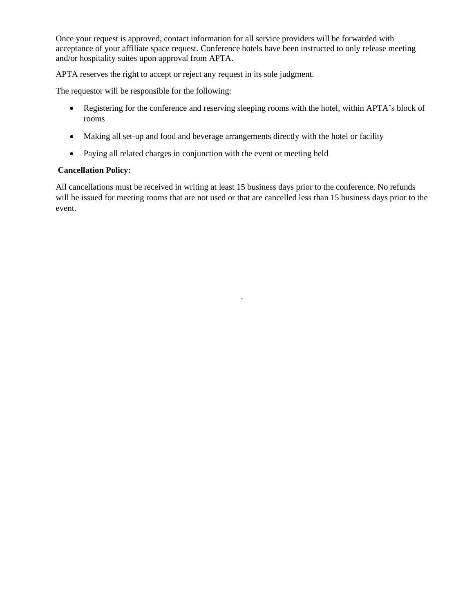Once your request is approved, contact information for all service providers will be forwarded with acceptance of your affiliate space request. Conference hotels have been instructed to only release meeting and/or hospitality suites upon approval from APTA.

APTA reserves the right to accept or reject any request in its sole judgment.

The requestor will be responsible for the following:

- Registering for the conference and reserving sleeping rooms with the hotel, within APTA's block of rooms
- Making all set-up and food and beverage arrangements directly with the hotel or facility
- Paying all related charges in conjunction with the event or meeting held

## **Cancellation Policy:**

All cancellations must be received in writing at least 15 business days prior to the conference. No refunds will be issued for meeting rooms that are not used or that are cancelled less than 15 business days prior to the event.

·